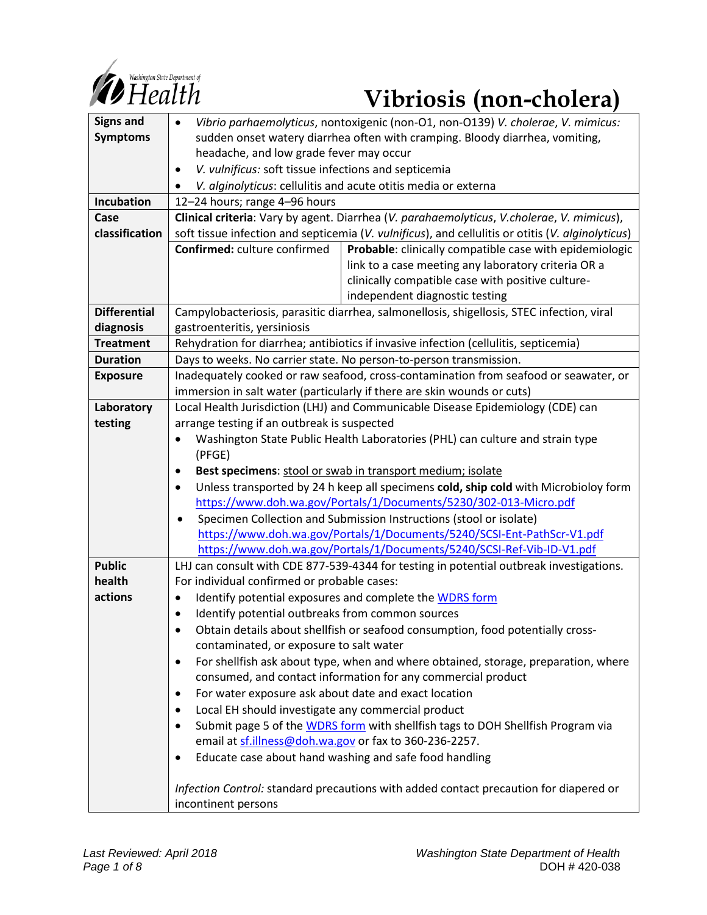

# *Constitued Department of*<br> **1** Health **Vibriosis** (non-cholera)

| <b>Signs and</b>    |                                                                                                   |
|---------------------|---------------------------------------------------------------------------------------------------|
|                     | Vibrio parhaemolyticus, nontoxigenic (non-O1, non-O139) V. cholerae, V. mimicus:<br>$\bullet$     |
| <b>Symptoms</b>     | sudden onset watery diarrhea often with cramping. Bloody diarrhea, vomiting,                      |
|                     | headache, and low grade fever may occur                                                           |
|                     | V. vulnificus: soft tissue infections and septicemia<br>$\bullet$                                 |
|                     | V. alginolyticus: cellulitis and acute otitis media or externa<br>$\bullet$                       |
| Incubation          | 12-24 hours; range 4-96 hours                                                                     |
| Case                | Clinical criteria: Vary by agent. Diarrhea (V. parahaemolyticus, V. cholerae, V. mimicus),        |
| classification      | soft tissue infection and septicemia (V. vulnificus), and cellulitis or otitis (V. alginolyticus) |
|                     | Confirmed: culture confirmed<br>Probable: clinically compatible case with epidemiologic           |
|                     | link to a case meeting any laboratory criteria OR a                                               |
|                     | clinically compatible case with positive culture-                                                 |
|                     | independent diagnostic testing                                                                    |
| <b>Differential</b> | Campylobacteriosis, parasitic diarrhea, salmonellosis, shigellosis, STEC infection, viral         |
| diagnosis           | gastroenteritis, yersiniosis                                                                      |
| <b>Treatment</b>    | Rehydration for diarrhea; antibiotics if invasive infection (cellulitis, septicemia)              |
| <b>Duration</b>     | Days to weeks. No carrier state. No person-to-person transmission.                                |
| <b>Exposure</b>     | Inadequately cooked or raw seafood, cross-contamination from seafood or seawater, or              |
|                     | immersion in salt water (particularly if there are skin wounds or cuts)                           |
| Laboratory          | Local Health Jurisdiction (LHJ) and Communicable Disease Epidemiology (CDE) can                   |
| testing             | arrange testing if an outbreak is suspected                                                       |
|                     | Washington State Public Health Laboratories (PHL) can culture and strain type                     |
|                     | (PFGE)                                                                                            |
|                     | Best specimens: stool or swab in transport medium; isolate<br>$\bullet$                           |
|                     | Unless transported by 24 h keep all specimens cold, ship cold with Microbioloy form<br>$\bullet$  |
|                     | https://www.doh.wa.gov/Portals/1/Documents/5230/302-013-Micro.pdf                                 |
|                     | Specimen Collection and Submission Instructions (stool or isolate)<br>$\bullet$                   |
|                     | https://www.doh.wa.gov/Portals/1/Documents/5240/SCSI-Ent-PathScr-V1.pdf                           |
|                     | https://www.doh.wa.gov/Portals/1/Documents/5240/SCSI-Ref-Vib-ID-V1.pdf                            |
| <b>Public</b>       | LHJ can consult with CDE 877-539-4344 for testing in potential outbreak investigations.           |
| health              | For individual confirmed or probable cases:                                                       |
| actions             | Identify potential exposures and complete the WDRS form<br>$\bullet$                              |
|                     | Identify potential outbreaks from common sources<br>$\bullet$                                     |
|                     | Obtain details about shellfish or seafood consumption, food potentially cross-                    |
|                     | contaminated, or exposure to salt water                                                           |
|                     | For shellfish ask about type, when and where obtained, storage, preparation, where<br>$\bullet$   |
|                     | consumed, and contact information for any commercial product                                      |
|                     | For water exposure ask about date and exact location<br>٠                                         |
|                     | Local EH should investigate any commercial product<br>$\bullet$                                   |
|                     | Submit page 5 of the WDRS form with shellfish tags to DOH Shellfish Program via<br>$\bullet$      |
|                     | email at sf.illness@doh.wa.gov or fax to 360-236-2257.                                            |
|                     | Educate case about hand washing and safe food handling<br>$\bullet$                               |
|                     |                                                                                                   |
|                     | Infection Control: standard precautions with added contact precaution for diapered or             |
|                     | incontinent persons                                                                               |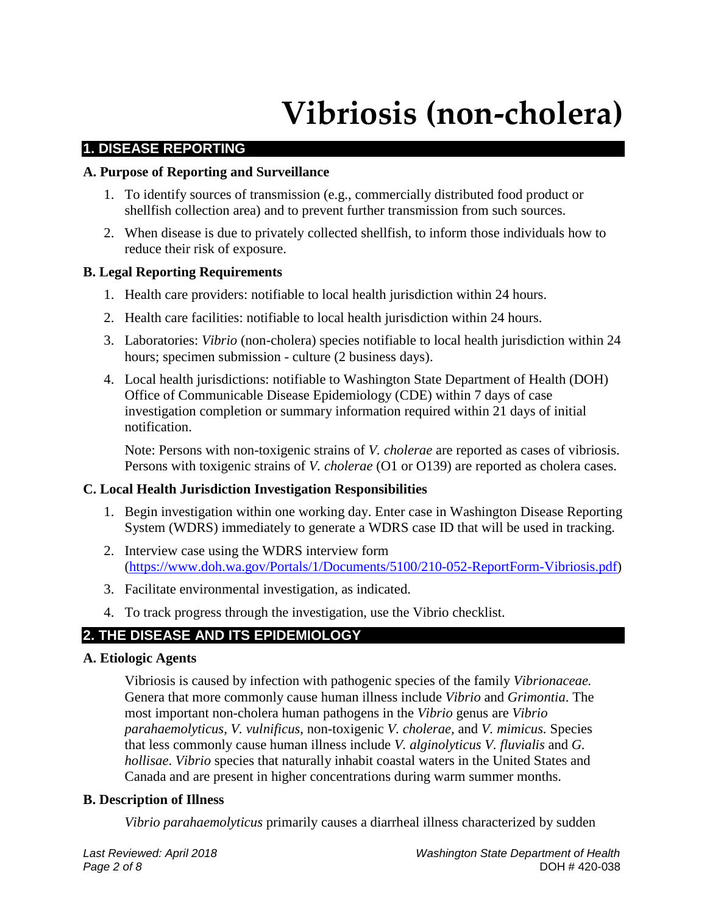## **Vibriosis (non-cholera)**

## **1. DISEASE REPORTING**

### **A. Purpose of Reporting and Surveillance**

- 1. To identify sources of transmission (e.g., commercially distributed food product or shellfish collection area) and to prevent further transmission from such sources.
- 2. When disease is due to privately collected shellfish, to inform those individuals how to reduce their risk of exposure.

## **B. Legal Reporting Requirements**

- 1. Health care providers: notifiable to local health jurisdiction within 24 hours.
- 2. Health care facilities: notifiable to local health jurisdiction within 24 hours.
- 3. Laboratories: *Vibrio* (non-cholera) species notifiable to local health jurisdiction within 24 hours; specimen submission - culture (2 business days).
- 4. Local health jurisdictions: notifiable to Washington State Department of Health (DOH) Office of Communicable Disease Epidemiology (CDE) within 7 days of case investigation completion or summary information required within 21 days of initial notification.

Note: Persons with non-toxigenic strains of *V. cholerae* are reported as cases of vibriosis. Persons with toxigenic strains of *V. cholerae* (O1 or O139) are reported as cholera cases.

## **C. Local Health Jurisdiction Investigation Responsibilities**

- 1. Begin investigation within one working day. Enter case in Washington Disease Reporting System (WDRS) immediately to generate a WDRS case ID that will be used in tracking.
- 2. Interview case using the WDRS interview form [\(https://www.doh.wa.gov/Portals/1/Documents/5100/210-052-ReportForm-Vibriosis.pdf\)](https://www.doh.wa.gov/Portals/1/Documents/5100/210-052-ReportForm-Vibriosis.pdf)
- 3. Facilitate environmental investigation, as indicated.
- 4. To track progress through the investigation, use the Vibrio checklist.

## **2. THE DISEASE AND ITS EPIDEMIOLOGY**

### **A. Etiologic Agents**

Vibriosis is caused by infection with pathogenic species of the family *Vibrionaceae.* Genera that more commonly cause human illness include *Vibrio* and *Grimontia*. The most important non-cholera human pathogens in the *Vibrio* genus are *Vibrio parahaemolyticus*, *V. vulnificus*, non-toxigenic *V. cholerae,* and *V. mimicus.* Species that less commonly cause human illness include *V. alginolyticus V. fluvialis* and *G. hollisae*. *Vibrio* species that naturally inhabit coastal waters in the United States and Canada and are present in higher concentrations during warm summer months.

### **B. Description of Illness**

*Vibrio parahaemolyticus* primarily causes a diarrheal illness characterized by sudden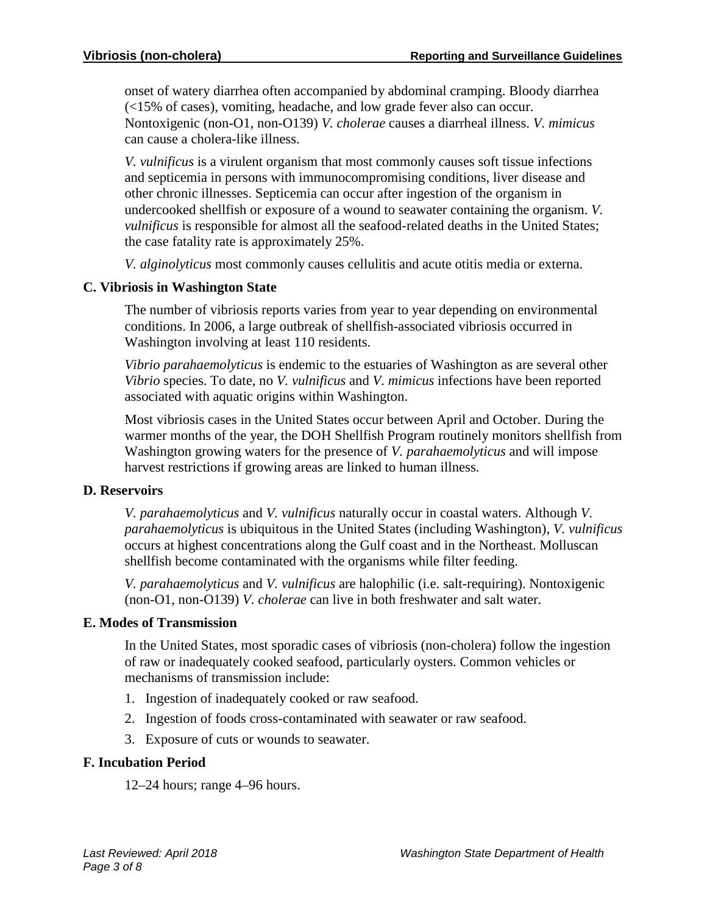onset of watery diarrhea often accompanied by abdominal cramping. Bloody diarrhea (<15% of cases), vomiting, headache, and low grade fever also can occur. Nontoxigenic (non-O1, non-O139) *V. cholerae* causes a diarrheal illness. *V. mimicus*  can cause a cholera-like illness.

*V. vulnificus* is a virulent organism that most commonly causes soft tissue infections and septicemia in persons with immunocompromising conditions, liver disease and other chronic illnesses. Septicemia can occur after ingestion of the organism in undercooked shellfish or exposure of a wound to seawater containing the organism. *V. vulnificus* is responsible for almost all the seafood-related deaths in the United States; the case fatality rate is approximately 25%.

*V. alginolyticus* most commonly causes cellulitis and acute otitis media or externa.

## **C. Vibriosis in Washington State**

The number of vibriosis reports varies from year to year depending on environmental conditions. In 2006, a large outbreak of shellfish-associated vibriosis occurred in Washington involving at least 110 residents.

*Vibrio parahaemolyticus* is endemic to the estuaries of Washington as are several other *Vibrio* species. To date, no *V. vulnificus* and *V*. *mimicus* infections have been reported associated with aquatic origins within Washington.

Most vibriosis cases in the United States occur between April and October. During the warmer months of the year, the DOH Shellfish Program routinely monitors shellfish from Washington growing waters for the presence of *V. parahaemolyticus* and will impose harvest restrictions if growing areas are linked to human illness.

### **D. Reservoirs**

*V. parahaemolyticus* and *V. vulnificus* naturally occur in coastal waters. Although *V. parahaemolyticus* is ubiquitous in the United States (including Washington), *V. vulnificus* occurs at highest concentrations along the Gulf coast and in the Northeast. Molluscan shellfish become contaminated with the organisms while filter feeding.

*V. parahaemolyticus* and *V. vulnificus* are halophilic (i.e. salt-requiring). Nontoxigenic (non-O1, non-O139) *V. cholerae* can live in both freshwater and salt water.

### **E. Modes of Transmission**

In the United States, most sporadic cases of vibriosis (non-cholera) follow the ingestion of raw or inadequately cooked seafood, particularly oysters. Common vehicles or mechanisms of transmission include:

- 1. Ingestion of inadequately cooked or raw seafood.
- 2. Ingestion of foods cross-contaminated with seawater or raw seafood.
- 3. Exposure of cuts or wounds to seawater.

## **F. Incubation Period**

12–24 hours; range 4–96 hours.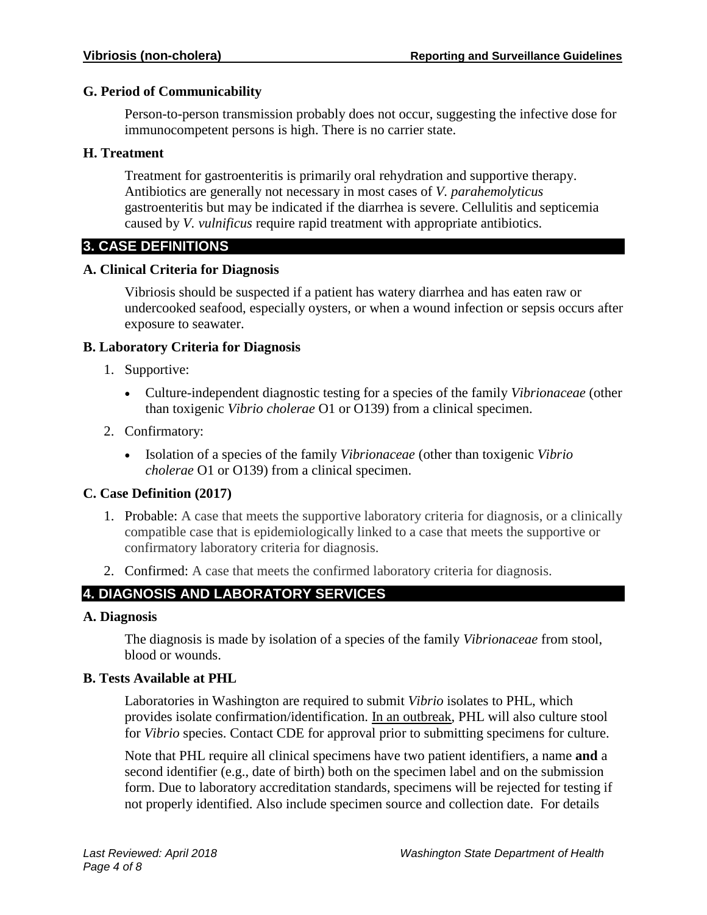## **G. Period of Communicability**

Person-to-person transmission probably does not occur, suggesting the infective dose for immunocompetent persons is high. There is no carrier state.

## **H. Treatment**

Treatment for gastroenteritis is primarily oral rehydration and supportive therapy. Antibiotics are generally not necessary in most cases of *V. parahemolyticus* gastroenteritis but may be indicated if the diarrhea is severe. Cellulitis and septicemia caused by *V. vulnificus* require rapid treatment with appropriate antibiotics.

## **3. CASE DEFINITIONS**

## **A. Clinical Criteria for Diagnosis**

Vibriosis should be suspected if a patient has watery diarrhea and has eaten raw or undercooked seafood, especially oysters, or when a wound infection or sepsis occurs after exposure to seawater.

## **B. Laboratory Criteria for Diagnosis**

- 1. Supportive:
	- Culture-independent diagnostic testing for a species of the family *Vibrionaceae* (other than toxigenic *Vibrio cholerae* O1 or O139) from a clinical specimen.
- 2. Confirmatory:
	- Isolation of a species of the family *Vibrionaceae* (other than toxigenic *Vibrio cholerae* O1 or O139) from a clinical specimen.

## **C. Case Definition (2017)**

- 1. Probable: A case that meets the supportive laboratory criteria for diagnosis, or a clinically compatible case that is epidemiologically linked to a case that meets the supportive or confirmatory laboratory criteria for diagnosis.
- 2. Confirmed: A case that meets the confirmed laboratory criteria for diagnosis.

## **4. DIAGNOSIS AND LABORATORY SERVICES**

### **A. Diagnosis**

The diagnosis is made by isolation of a species of the family *Vibrionaceae* from stool, blood or wounds.

### **B. Tests Available at PHL**

Laboratories in Washington are required to submit *Vibrio* isolates to PHL, which provides isolate confirmation/identification. In an outbreak, PHL will also culture stool for *Vibrio* species. Contact CDE for approval prior to submitting specimens for culture.

Note that PHL require all clinical specimens have two patient identifiers, a name **and** a second identifier (e.g., date of birth) both on the specimen label and on the submission form. Due to laboratory accreditation standards, specimens will be rejected for testing if not properly identified. Also include specimen source and collection date. For details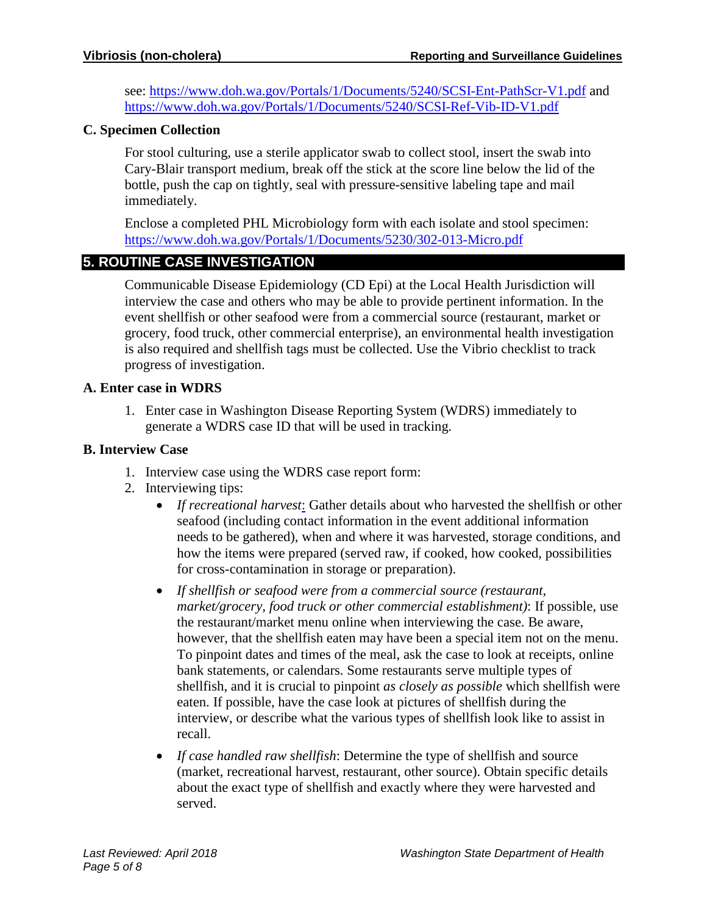see:<https://www.doh.wa.gov/Portals/1/Documents/5240/SCSI-Ent-PathScr-V1.pdf> and <https://www.doh.wa.gov/Portals/1/Documents/5240/SCSI-Ref-Vib-ID-V1.pdf>

## **C. Specimen Collection**

For stool culturing, use a sterile applicator swab to collect stool, insert the swab into Cary-Blair transport medium, break off the stick at the score line below the lid of the bottle, push the cap on tightly, seal with pressure-sensitive labeling tape and mail immediately.

Enclose a completed PHL Microbiology form with each isolate and stool specimen: <https://www.doh.wa.gov/Portals/1/Documents/5230/302-013-Micro.pdf>

## **5. ROUTINE CASE INVESTIGATION**

Communicable Disease Epidemiology (CD Epi) at the Local Health Jurisdiction will interview the case and others who may be able to provide pertinent information. In the event shellfish or other seafood were from a commercial source (restaurant, market or grocery, food truck, other commercial enterprise), an environmental health investigation is also required and shellfish tags must be collected. Use the Vibrio checklist to track progress of investigation.

## **A. Enter case in WDRS**

1. Enter case in Washington Disease Reporting System (WDRS) immediately to generate a WDRS case ID that will be used in tracking.

## **B. Interview Case**

- 1. Interview case using the WDRS case report form:
- 2. Interviewing tips:
	- *If recreational harvest*: Gather details about who harvested the shellfish or other seafood (including contact information in the event additional information needs to be gathered), when and where it was harvested, storage conditions, and how the items were prepared (served raw, if cooked, how cooked, possibilities for cross-contamination in storage or preparation).
	- *If shellfish or seafood were from a commercial source (restaurant, market/grocery, food truck or other commercial establishment)*: If possible, use the restaurant/market menu online when interviewing the case. Be aware, however, that the shellfish eaten may have been a special item not on the menu. To pinpoint dates and times of the meal, ask the case to look at receipts, online bank statements, or calendars. Some restaurants serve multiple types of shellfish, and it is crucial to pinpoint *as closely as possible* which shellfish were eaten. If possible, have the case look at pictures of shellfish during the interview, or describe what the various types of shellfish look like to assist in recall.
	- *If case handled raw shellfish*: Determine the type of shellfish and source (market, recreational harvest, restaurant, other source). Obtain specific details about the exact type of shellfish and exactly where they were harvested and served.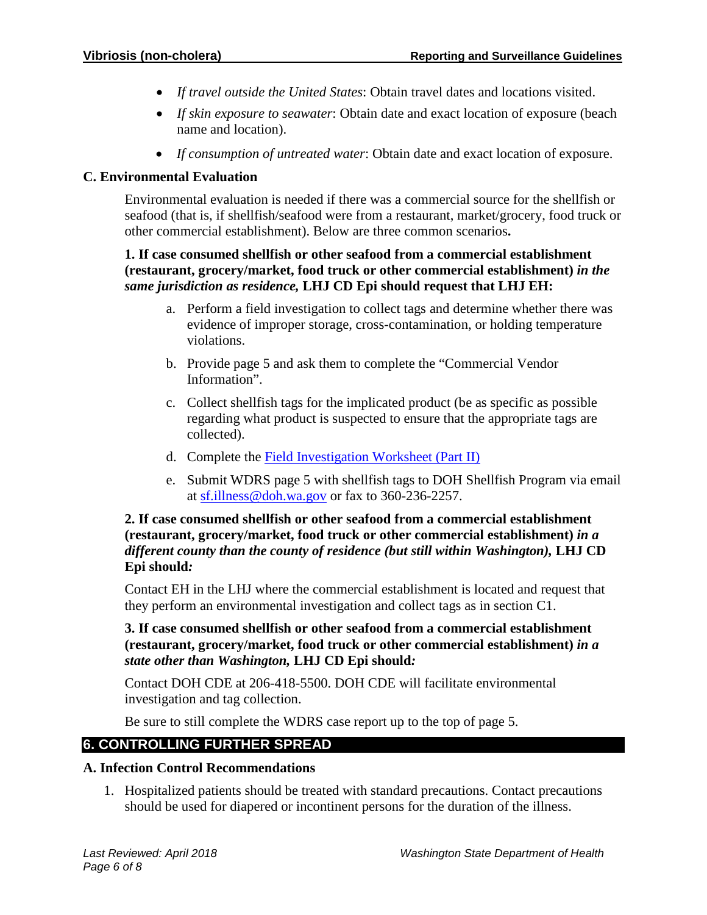- *If travel outside the United States*: Obtain travel dates and locations visited.
- *If skin exposure to seawater*: Obtain date and exact location of exposure (beach name and location).
- *If consumption of untreated water*: Obtain date and exact location of exposure.

## **C. Environmental Evaluation**

Environmental evaluation is needed if there was a commercial source for the shellfish or seafood (that is, if shellfish/seafood were from a restaurant, market/grocery, food truck or other commercial establishment). Below are three common scenarios**.**

## **1. If case consumed shellfish or other seafood from a commercial establishment (restaurant, grocery/market, food truck or other commercial establishment)** *in the same jurisdiction as residence,* **LHJ CD Epi should request that LHJ EH:**

- a. Perform a field investigation to collect tags and determine whether there was evidence of improper storage, cross-contamination, or holding temperature violations.
- b. Provide page 5 and ask them to complete the "Commercial Vendor Information".
- c. Collect shellfish tags for the implicated product (be as specific as possible regarding what product is suspected to ensure that the appropriate tags are collected).
- d. Complete the [Field Investigation Worksheet \(Part II\)](https://www.doh.wa.gov/Portals/1/Documents/5100/420-021-ReportForm-FoodOutbreak2.pdf)
- e. Submit WDRS page 5 with shellfish tags to DOH Shellfish Program via email at [sf.illness@doh.wa.gov](mailto:sf.illness@doh.wa.gov) or fax to 360-236-2257.

## **2. If case consumed shellfish or other seafood from a commercial establishment (restaurant, grocery/market, food truck or other commercial establishment)** *in a different county than the county of residence (but still within Washington),* **LHJ CD Epi should***:*

Contact EH in the LHJ where the commercial establishment is located and request that they perform an environmental investigation and collect tags as in section C1.

## **3. If case consumed shellfish or other seafood from a commercial establishment (restaurant, grocery/market, food truck or other commercial establishment)** *in a state other than Washington,* **LHJ CD Epi should***:*

Contact DOH CDE at 206-418-5500. DOH CDE will facilitate environmental investigation and tag collection.

Be sure to still complete the WDRS case report up to the top of page 5.

## **6. CONTROLLING FURTHER SPREAD**

## **A. Infection Control Recommendations**

1. Hospitalized patients should be treated with standard precautions. Contact precautions should be used for diapered or incontinent persons for the duration of the illness.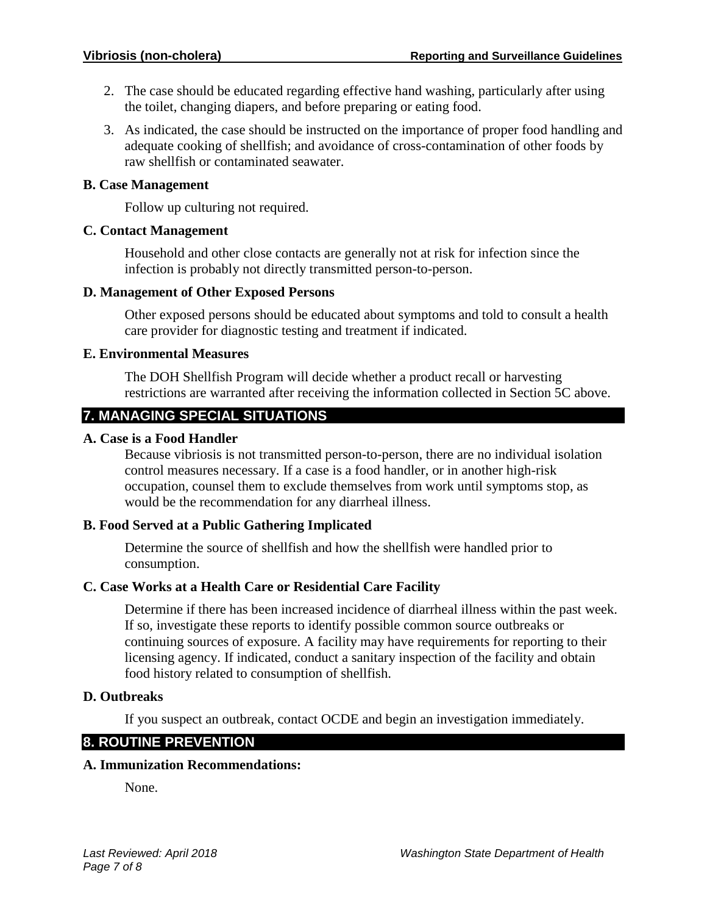- 2. The case should be educated regarding effective hand washing, particularly after using the toilet, changing diapers, and before preparing or eating food.
- 3. As indicated, the case should be instructed on the importance of proper food handling and adequate cooking of shellfish; and avoidance of cross-contamination of other foods by raw shellfish or contaminated seawater.

### **B. Case Management**

Follow up culturing not required.

#### **C. Contact Management**

Household and other close contacts are generally not at risk for infection since the infection is probably not directly transmitted person-to-person.

#### **D. Management of Other Exposed Persons**

Other exposed persons should be educated about symptoms and told to consult a health care provider for diagnostic testing and treatment if indicated.

#### **E. Environmental Measures**

The DOH Shellfish Program will decide whether a product recall or harvesting restrictions are warranted after receiving the information collected in Section 5C above.

## **7. MANAGING SPECIAL SITUATIONS**

#### **A. Case is a Food Handler**

Because vibriosis is not transmitted person-to-person, there are no individual isolation control measures necessary. If a case is a food handler, or in another high-risk occupation, counsel them to exclude themselves from work until symptoms stop, as would be the recommendation for any diarrheal illness.

### **B. Food Served at a Public Gathering Implicated**

Determine the source of shellfish and how the shellfish were handled prior to consumption.

### **C. Case Works at a Health Care or Residential Care Facility**

Determine if there has been increased incidence of diarrheal illness within the past week. If so, investigate these reports to identify possible common source outbreaks or continuing sources of exposure. A facility may have requirements for reporting to their licensing agency. If indicated, conduct a sanitary inspection of the facility and obtain food history related to consumption of shellfish.

### **D. Outbreaks**

If you suspect an outbreak, contact OCDE and begin an investigation immediately.

## **8. ROUTINE PREVENTION**

### **A. Immunization Recommendations:**

None.